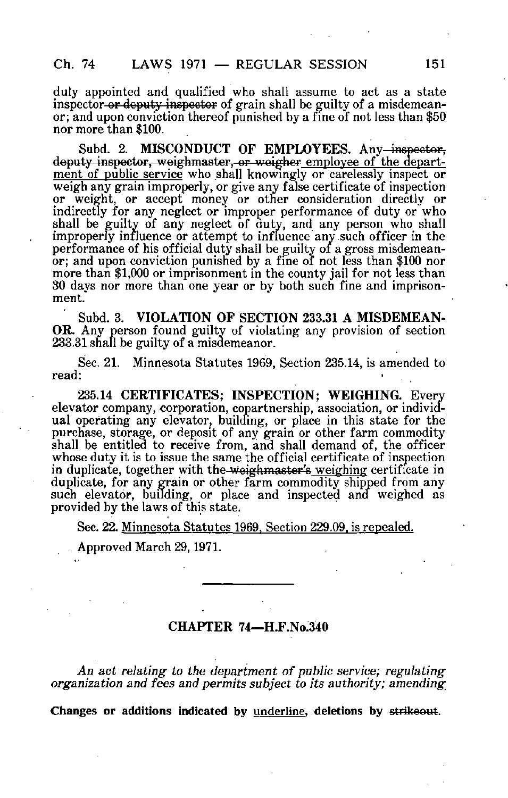duly appointed and qualified who shall assume to act as a state inspector or deputy inspector of grain shall be guilty of a misdemeanor; and upon conviction thereof punished by a fine of not less than \$50 nor more than \$100.

Subd. 2. MISCONDUCT OF EMPLOYEES. Any-inspector, deputy inspector, weighmaster, or weigher employee of the department of public service who shall knowingly or carelessly inspect or weigh any grain improperly, or give any false certificate of inspection or weight, or accept money or other consideration directly or indirectly for any neglect or improper performance of duty or who shall be guilty of any neglect of duty, and any person who shall improperly influence or attempt to influence any.such officer in the performance of his official duty shall be guilty of a gross misdemeanor; and upon conviction punished by a fine of not less than \$100 nor more than \$1,000 or imprisonment in the county jail for not less than 30 days nor more than one year or by both such fine and imprisonment.

Subd. 3. VIOLATION OF SECTION 233.31 A MISDEMEAN-OR. Any person found guilty of violating any provision of section 233.31 shall be guilty of a misdemeanor.

Sec. 21. Minnesota Statutes 1969, Section 235.14, is amended to read:

235.14 CERTIFICATES; INSPECTION; WEIGHING. Every elevator company, corporation, copartnership, association, or individual operating any elevator, building, or place in this state for the purchase, storage, or deposit of any grain or other farm commodity shall be entitled to receive from, and shall demand of, the officer whose duty it is to issue the same the official certificate of inspection in duplicate, together with the weighmaster's weighing certificate in duplicate, for any grain or other farm commodity shipped from any such elevator, building, or place and inspected and weighed as provided by the laws of this state.

Sec. 22. Minnesota Statutes 1969. Section 229.09. is repealed.

Approved March 29,1971.

## CHAPTER 74—H.F.No.340

An act relating to the department of public service; regulating organization and fees and permits subject to its authority; amending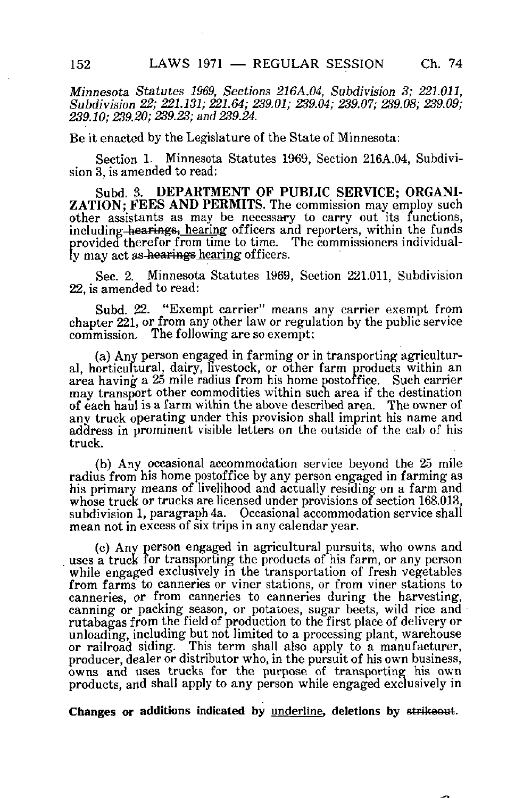Minnesota Statutes 1969, Sections 216A.04, Subdivision 3; 221.011, Subdivision 22; 221.131; 221.64; 239.01; 239.04; 239.07; 239.08; 239.09; 239.10; 239.20; 239.23; and 239.24.

Be it enacted by the Legislature of the State of Minnesota:

Section 1. Minnesota Statutes 1969, Section 216A.04, Subdivision 3, is amended to read:

Subd. 3. DEPARTMENT OF PUBLIC SERVICE; ORGANI-ZATION; FEES AND PERMITS. The commission may employ such other assistants as may be necessary to carry out its functions, including hearings, hearing officers and reporters, within the funds provided therefor from time to time. The commissioners individually may act as-hearings hearing officers.

Sec. 2. Minnesota Statutes 1969, Section 221.011, Subdivision 22, is amended to read:

Subd. 22. "Exempt carrier" means any carrier exempt from chapter 221, or from any other law or regulation by the public service commission. The following are so exempt:

(a) Any person engaged in farming or in transporting agricultural, horticultural, dairy, livestock, or other farm products within an area having a 25 mile radius from his home postoffice. Such carrier may transport other commodities within such area if the destination of each haul is a farm within the above described area. The owner of any truck operating under this provision shall imprint his name and address in prominent visible letters on the outside of the cab of his truck.

(b) Any occasional accommodation service beyond the 25 mile radius from his home postoffice by any person engaged in farming as his primary means of livelihood and actually residing on a farm and whose truck or trucks are licensed under provisions of section 168.013, subdivision 1, paragraph 4a. Occasional accommodation service shall mean not in excess of six trips in any calendar year.

(c) Any person engaged in agricultural pursuits, who owns and uses a truck for transporting the products of his farm, or any person while engaged exclusively in the transportation of fresh vegetables from farms to canneries or viner stations, or from viner stations to canneries, or from canneries to canneries during the harvesting, canning or packing season, or potatoes, sugar beets, wild rice and rutabagas from the field of production to the first place of delivery or unloading, including but not limited to a processing plant, warehouse or railroad siding. This term shall also apply to a manufacturer, producer, dealer or distributor who, in the pursuit of his own business, owns and uses trucks for the purpose of transporting his own products, and shall apply to any person while engaged exclusively in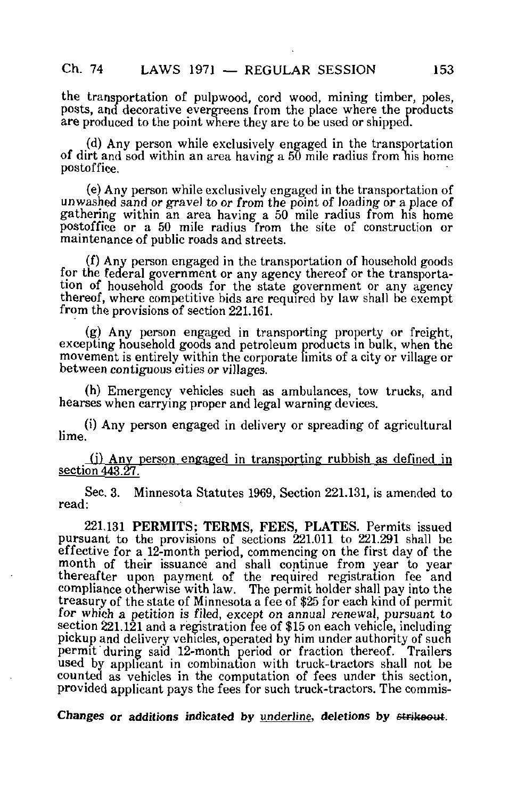the transportation of pulpwood, cord wood, mining timber, poles, posts, and decorative evergreens from the place where the products are produced to the point where they are to be used or shipped.

(d) Any person while exclusively engaged in the transportation of dirt and sod within an area having a 50 mile radius from nis home postoffice.

(e) Any person while exclusively engaged in the transportation of unwashed sand or gravel to or from the point of loading or a place of gathering within an area having a 50 mile radius from his home postoffice or a 50 mile radius from the site of construction or maintenance of public roads and streets.

(f) Any person engaged in the transportation of household goods for the federal government or any agency thereof or the transportation of household goods for the state government or any agency thereof, where competitive bids are required by law shall be exempt from the provisions of section 221.161.

(g) Any person engaged in transporting property or freight, excepting household goods and petroleum products in bulk, when the movement is entirely within the corporate limits of a city or village or between contiguous cities or villages.

(h) Emergency vehicles such as ambulances, tow trucks, and hearses when carrying proper and legal warning devices.

(i) Any person engaged in delivery or spreading of agricultural lime.

(i) Anv person engaged in transporting rubbish as defined in section 443.27.

Sec, 3. Minnesota Statutes 1969, Section 221.131, is amended to read:

221,131 PERMITS; TERMS, FEES, PLATES. Permits issued pursuant to the provisions of sections 221.011 to 221.291 shall be effective for a 12-month period, commencing on the first day of the month of their issuance and shall continue from year to year thereafter upon payment of the required registration fee and compliance otherwise with law. The permit holder shall pay into the treasury of the state of Minnesota a fee of \$25 for each kind of permit for which a petition is filed, except on annual renewal, pursuant to section  $221.121$  and a registration fee of \$15 on each vehicle, including pickup and delivery vehicles, operated by him under authority of such permit during said 12-month period or fraction thereof. Trailers used by applicant in combination with truck-tractors shall not be counted as vehicles in the computation of fees under this section, provided applicant pays the fees for such truck-tractors. The commis-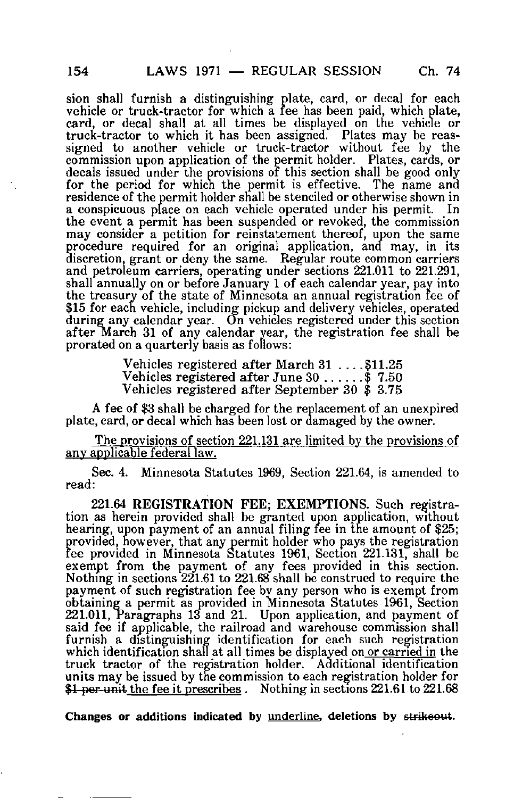sion shall furnish a distinguishing plate, card, or decal for each vehicle or truck-tractor for which a fee has been paid, which plate, card, or decal shall at all times be displayed on the vehicle or truck-tractor to which it has been assigned. Plates may be reassigned to another vehicle or truck-tractor without fee by the commission upon application of the permit holder. Plates, cards, or decals issued under the provisions of this section shall be good only for the period for which the permit is effective. The name and residence of the permit holder shall be stenciled or otherwise shown in a conspicuous place on each vehicle operated under his permit. In the event a permit has been suspended or revoked, the commission may consider a petition for reinstatement thereof, upon the same procedure required for an original application, and may, in its discretion, grant or deny the same. Regular route common carriers and petroleum carriers, operating under sections 221.011 to 221.291, shall annually on or before January 1 of each calendar year, pay into the treasury of the state of Minnesota an annual registration fee of \$15 for each vehicle, including pickup and delivery vehicles, operated during any calendar year. On vehicles registered under this section after March 31 of any calendar year, the registration fee shall be prorated on a quarterly basis as follows:

> Vehicles registered after March 31 ... .\$11.25 Vehicles registered after June  $30...$  \$ 7.50 Vehicles registered after September 30 \$ 3.75

A fee of \$3 shall be charged for the replacement of an unexpired plate, card, or decal which has been lost or damaged by the owner.

The provisions of section 221.131 are limited by the provisions of any applicable federal law.

Sec. 4. Minnesota Statutes 1969, Section 221.64, is amended to read:

221.64 REGISTRATION FEE; EXEMPTIONS. Such registration as herein provided shall be granted upon application, without hearing, upon payment of an annual filing fee in the amount of \$25; provided, however, that any permit holder who pays the registration fee provided in Minnesota Statutes 1961, Section 221.131, shall be exempt from the payment of any fees provided in this section. Nothing in sections 221.61 to 221.68 shall be construed to require the payment of such registration fee by any person who is exempt from obtaining a permit as provided in Minnesota Statutes 1961, Section 221.011, Paragraphs 13 and 21. Upon application, and payment of said fee if applicable, the railroad and warehouse commission shall furnish a distinguishing identification for each such registration which identification shall at all times be displayed on or carried in the truck tractor of the registration holder. Additional identification units may be issued by the commission to each registration holder for \$1 per unit the fee it prescribes . Nothing in sections 221.61 to 221.68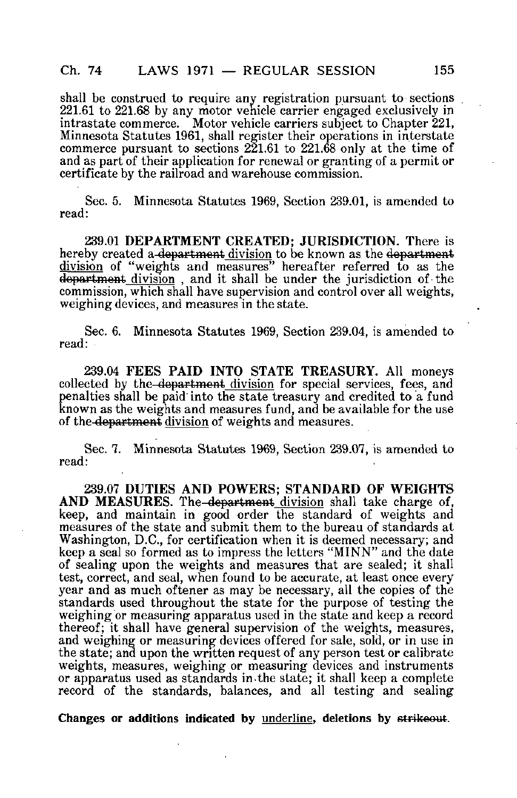shall be construed to require any registration pursuant to sections 221.61 to 221.68 by any motor vehicle carrier engaged exclusively in intrastate commerce. Motor vehicle carriers subject to Chapter 221, Minnesota Statutes 1961, shall register their operations in interstate commerce pursuant to sections  $2\overline{2}1.61$  to  $221.68$  only at the time of and as part of their application for renewal or granting of a permit or certificate by the railroad and warehouse commission.

Sec. 5. Minnesota Statutes 1969, Section 239.01, is amended to read:

239.01 DEPARTMENT CREATED; JURISDICTION. There is hereby created a department division to be known as the department division of "weights and measures" hereafter referred to as the department division, and it shall be under the jurisdiction of the commission, which shall have supervision and control over all weights, weighing devices, and measures in the state.

Sec. 6. Minnesota Statutes 1969, Section 239.04, is amended to read:

239.04 FEES PAID INTO STATE TREASURY. All moneys collected by the department division for special services, fees, and penalties shall be paid'into the state treasury and credited to a fund known as the weights and measures fund, and be available for the use of the department division of weights and measures.

Sec. 7. Minnesota Statutes 1969, Section 239.07, is amended to read:

239.07 DUTIES AND POWERS; STANDARD OF WEIGHTS AND MEASURES. The department division shall take charge of, keep, and maintain in good order the standard of weights and measures of the state and submit them to the bureau of standards at Washington, D.C., for certification when it is deemed necessary; and keep a seal so formed as to impress the letters "MINN" and the date of sealing upon the weights and measures that are sealed; it shall test, correct, and seal, when found to be accurate, at least once every year and as much oftener as may be necessary, all the copies of the standards used throughout the state for the purpose of testing the weighing or measuring apparatus used in the state and keep a record thereof; it shall have general supervision of the weights, measures, and weighing or measuring devices offered for sale, sold, or in use in the state; and upon the written request of any person test or calibrate weights, measures, weighing or measuring devices and instruments or apparatus used as standards in.the state; it shall keep a complete record of the standards, balances, and all testing and sealing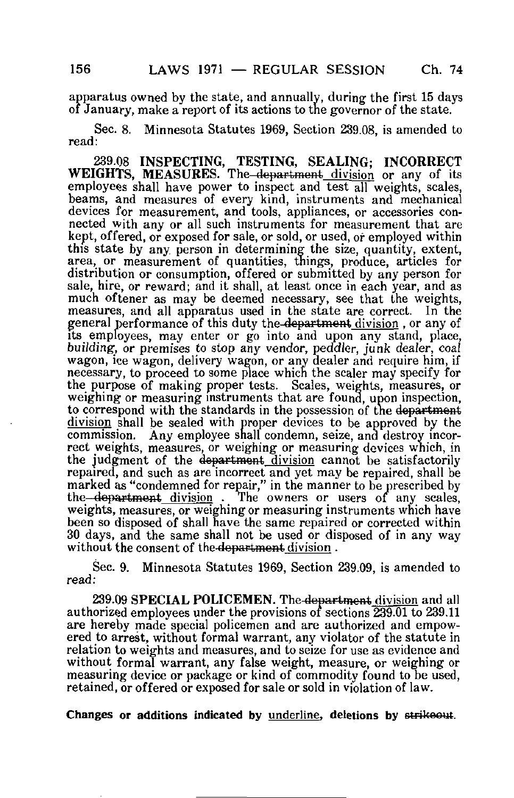apparatus owned by the state, and annually, during the first 15 days of January, make a report of its actions to the governor of the state.

Sec. 8. Minnesota Statutes 1969, Section 239.08, is amended to read:

239.08 INSPECTING, TESTING, SEALING; INCORRECT WEIGHTS, MEASURES. The–<del>department</del> division or any of its employees shall have power to inspect and test all weights, scales, beams, and measures of every kind, instruments and mechanical devices for measurement, and tools, appliances, or accessories connected with any or all such instruments for measurement that are kept, offered, or exposed for sale, or sold, or used, or employed within this state by any. person in determining the size, quantity, extent, area, or measurement of quantities, things, produce, articles for distribution or consumption, offered or submitted by any person for sale, hire, or reward; and it shall, at least once in each year, and as much oftener as may be deemed necessary, see that the weights, measures, and all apparatus used in the state are correct. In the general performance of this duty the department division , or any of its employees, may enter or go into and upon any stand, place, building, or premises to stop any vendor, peddler, junk dealer, coal wagon, ice wagon, delivery wagon, or any dealer and require him, if necessary, to proceed to some place which the sealer may specify for the purpose of making proper tests. Scales, weights, measures, or weighing or measuring instruments that are found, upon inspection, to correspond with the standards in the possession of the department division shall be sealed with proper devices to be approved by the commission. Any employee shall condemn, seize, and destroy incorrect weights, measures, or weighing or measuring devices which, in the judgment of the department division cannot be satisfactorily repaired, and such as are incorrect and yet may be repaired, shall be marked as "condemned for repair," in the manner to be prescribed by the-department division. The owners or users of any scales, The owners or users of any scales, weights, measures, or weighing or measuring instruments which have been so disposed of shall have the same repaired or corrected within 30 days, and the same shall not be used or disposed of in any way without the consent of the department division.

Sec. 9. Minnesota Statutes 1969, Section 239.09, is amended to read:

239.09 SPECIAL POLICEMEN. The department division and all authorized employees under the provisions of sections 239.01 to 239.11 are hereby made special policemen and are authorized and empowered to arrest, without formal warrant, any violator of the statute in relation to weights and measures, and to seize for use as evidence and without formal warrant, any false weight, measure, or weighing or measuring device or package or kind of commodity found to be used, retained, or offered or exposed for sale or sold in violation of law.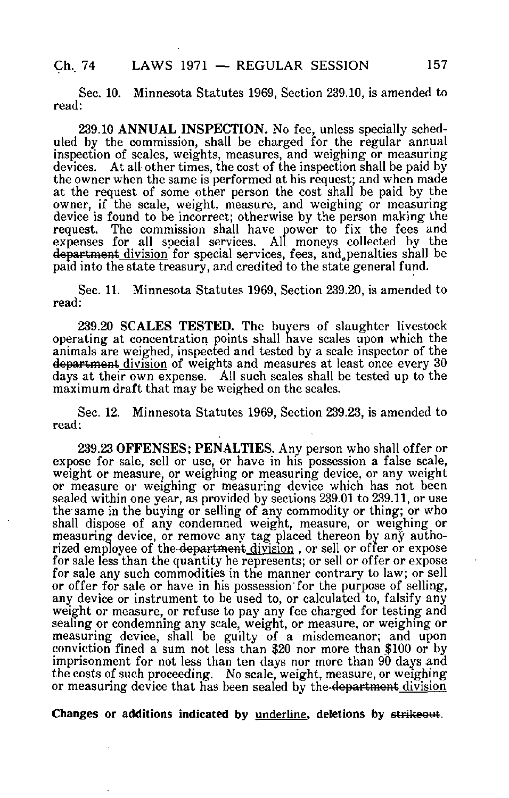## Ch. 74 LAWS 1971 — REGULAR SESSION 157

Sec. 10. Minnesota Statutes 1969, Section 239.10, is amended to read:

239.10 ANNUAL INSPECTION. No fee, unless specially scheduled by the commission, shall be charged for the regular annual inspection of scales, weights, measures, and weighing or measuring devices. At all other times, the cost of the inspection shall be paid by the owner when the same is performed at his request; and when made at the request of some other person the cost shall be paid by the owner, if the scale, weight, measure, and weighing or measuring device is found to be incorrect; otherwise by the person making the request. The commission shall have power to fix the fees and expenses for all special services. All moneys collected by the department division for special services, fees, and penalties shall be paid into the state treasury, and credited to the state general fund.

Sec. 11. Minnesota Statutes 1969, Section 239.20, is amended to read:

239.20 SCALES TESTED. The buyers of slaughter livestock operating at concentration points shall nave scales upon which the animals are weighed, inspected and tested by a scale inspector of the department division of weights and measures at least once every 30 days at their own expense. All such scales shall be tested up to the maximum draft that may be weighed on the scales.

Sec. 12. Minnesota Statutes 1969, Section 239.23, is amended to read:

239.23 OFFENSES; PENALTIES. Any person who shall offer or expose for sale, sell or use, or have in his possession a false scale, weight or measure, or weighing or measuring device, or any weight or measure or weighing or measuring device which has not been sealed within one year, as provided by sections 239.01 to 239.11, or use the same in the buying or selling of any commodity or thing; or who shall dispose of any condemned weight, measure, or weighing or measuring device, or remove any tag placed thereon by any authorized employee of the <del>department</del> division , or sell or offer or expose for sale less than the quantity he represents; or sell or offer or expose for sale any such commodities in the manner contrary to law; or sell or offer for sale or have in his possession for the purpose of selling, any device or instrument to be used to, or calculated to, falsify any weight or measure, or refuse to pay any fee charged for testing and sealing or condemning any scale, weight, or measure, or weighing or measuring device, shall be guilty of a misdemeanor; and upon conviction fined a sum not less than \$20 nor more than \$100 or by imprisonment for not less than ten days nor more than 90 days and the costs of such proceeding. No scale, weight, measure, or weighing or measuring device that has been sealed by the-department division